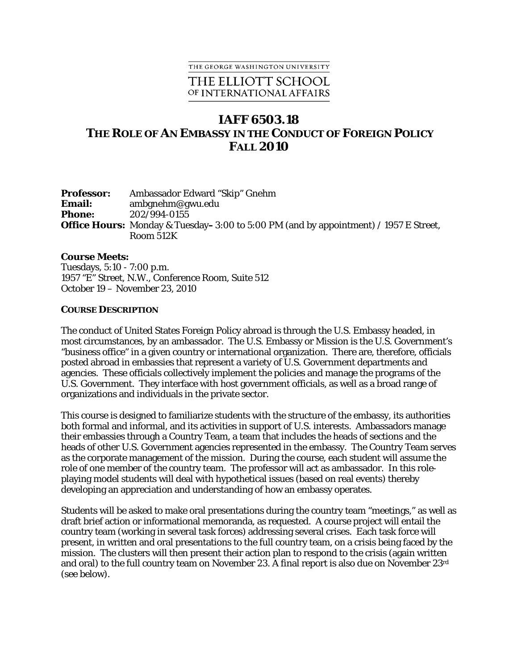#### THE GEORGE WASHINGTON UNIVERSITY

## THE ELLIOTT SCHOOL OF INTERNATIONAL AFFAIRS

# **IAFF 6503.18 THE ROLE OF AN EMBASSY IN THE CONDUCT OF FOREIGN POLICY FALL 2010**

| <b>Professor:</b> | Ambassador Edward "Skip" Gnehm                                                              |
|-------------------|---------------------------------------------------------------------------------------------|
| <b>Email:</b>     | ambgnehm@gwu.edu                                                                            |
| <b>Phone:</b>     | 202/994-0155                                                                                |
|                   | <b>Office Hours:</b> Monday & Tuesday–3:00 to 5:00 PM (and by appointment) / 1957 E Street, |
|                   | Room 512K                                                                                   |

#### **Course Meets:**

Tuesdays, 5:10 - 7:00 p.m. 1957 "E" Street, N.W., Conference Room, Suite 512 October 19 – November 23, 2010

#### **COURSE DESCRIPTION**

The conduct of United States Foreign Policy abroad is through the U.S. Embassy headed, in most circumstances, by an ambassador. The U.S. Embassy or Mission is the U.S. Government's "business office" in a given country or international organization. There are, therefore, officials posted abroad in embassies that represent a variety of U.S. Government departments and agencies. These officials collectively implement the policies and manage the programs of the U.S. Government. They interface with host government officials, as well as a broad range of organizations and individuals in the private sector.

This course is designed to familiarize students with the structure of the embassy, its authorities both formal and informal, and its activities in support of U.S. interests. Ambassadors manage their embassies through a Country Team, a team that includes the heads of sections and the heads of other U.S. Government agencies represented in the embassy. The Country Team serves as the corporate management of the mission. During the course, each student will assume the role of one member of the country team. The professor will act as ambassador. In this roleplaying model students will deal with hypothetical issues (based on real events) thereby developing an appreciation and understanding of how an embassy operates.

Students will be asked to make oral presentations during the country team "meetings," as well as draft brief action or informational memoranda, as requested. A course project will entail the country team (working in several task forces) addressing several crises. Each task force will present, in written and oral presentations to the full country team, on a crisis being faced by the mission. The clusters will then present their action plan to respond to the crisis (again written and oral) to the full country team on November 23. A final report is also due on November 23rd (see below).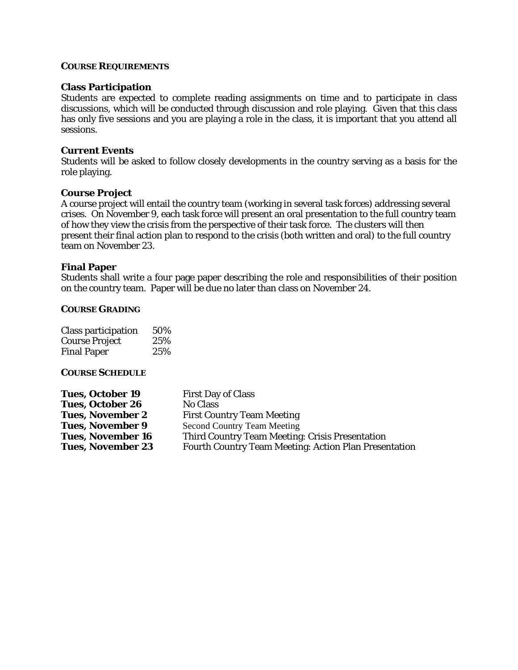### **COURSE REQUIREMENTS**

#### **Class Participation**

Students are expected to complete reading assignments on time and to participate in class discussions, which will be conducted through discussion and role playing. Given that this class has only five sessions and you are playing a role in the class, it is important that you attend all sessions.

## **Current Events**

Students will be asked to follow closely developments in the country serving as a basis for the role playing.

#### **Course Project**

A course project will entail the country team (working in several task forces) addressing several crises. On November 9, each task force will present an oral presentation to the full country team of how they view the crisis from the perspective of their task force. The clusters will then present their final action plan to respond to the crisis (both written and oral) to the full country team on November 23.

## **Final Paper**

Students shall write a four page paper describing the role and responsibilities of their position on the country team. Paper will be due no later than class on November 24.

#### **COURSE GRADING**

| Class participation   | 50% |
|-----------------------|-----|
| <b>Course Project</b> | 25% |
| <b>Final Paper</b>    | 25% |

#### **COURSE SCHEDULE**

| <b>Tues, October 19</b>  | <b>First Day of Class</b>                             |
|--------------------------|-------------------------------------------------------|
| <b>Tues, October 26</b>  | <b>No Class</b>                                       |
| <b>Tues, November 2</b>  | <b>First Country Team Meeting</b>                     |
| <b>Tues, November 9</b>  | <b>Second Country Team Meeting</b>                    |
| <b>Tues, November 16</b> | Third Country Team Meeting: Crisis Presentation       |
| <b>Tues, November 23</b> | Fourth Country Team Meeting: Action Plan Presentation |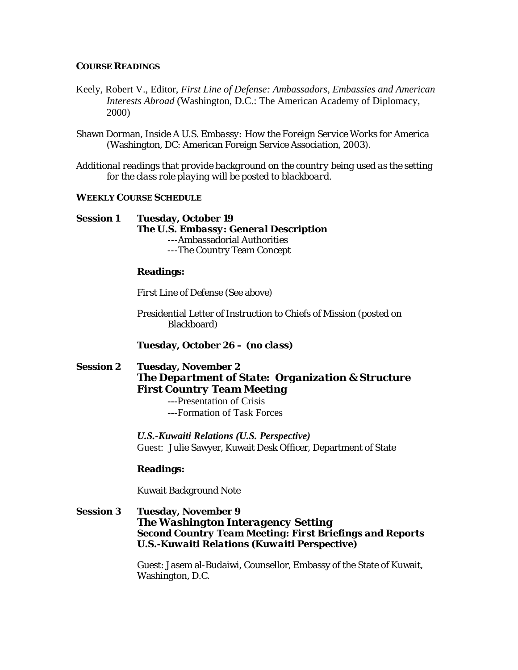#### **COURSE READINGS**

- Keely, Robert V., Editor, *First Line of Defense: Ambassadors, Embassies and American Interests Abroad* (Washington, D.C.: The American Academy of Diplomacy, 2000)
- Shawn Dorman, *Inside A U.S. Embassy: How the Foreign Service Works for America* (Washington, DC: American Foreign Service Association, 2003).
- *Additional readings that provide background on the country being used as the setting for the class role playing will be posted to blackboard.*

### **WEEKLY COURSE SCHEDULE**

## **Session 1 Tuesday, October 19**  *The U.S. Embassy: General Description*  ---Ambassadorial Authorities ---The Country Team Concept

## **Readings:**

*First Line of Defense* (See above)

Presidential Letter of Instruction to Chiefs of Mission (posted on Blackboard)

**Tuesday, October 26 –** *(no class)* 

## **Session 2 Tuesday, November 2**  *The Department of State: Organization & Structure First Country Team Meeting*  ---Presentation of Crisis

---Formation of Task Forces

 *U.S.-Kuwaiti Relations (U.S. Perspective)*  Guest: Julie Sawyer, Kuwait Desk Officer, Department of State

### **Readings:**

Kuwait Background Note

## **Session 3 Tuesday, November 9** *The Washington Interagency Setting Second Country Team Meeting: First Briefings and Reports U.S.-Kuwaiti Relations (Kuwaiti Perspective)*

Guest: Jasem al-Budaiwi, Counsellor, Embassy of the State of Kuwait, Washington, D.C.